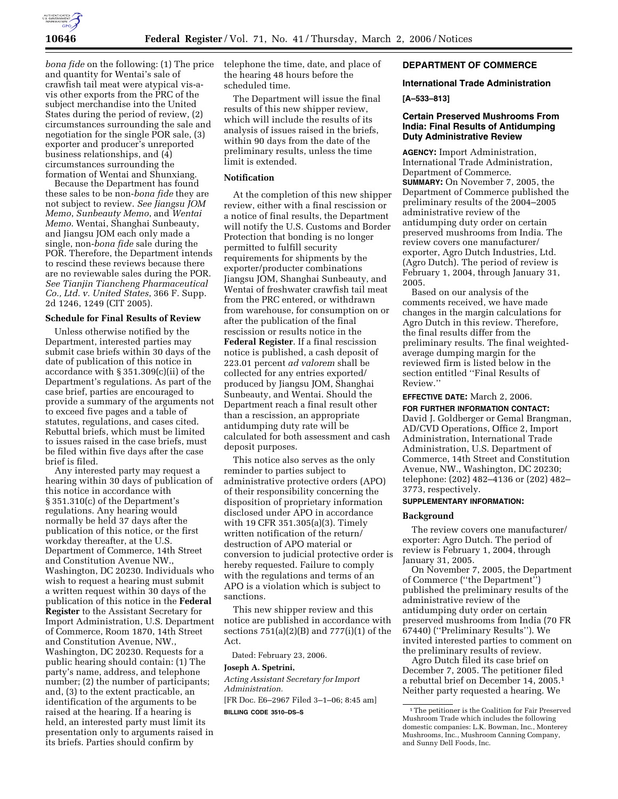

*bona fide* on the following: (1) The price and quantity for Wentai's sale of crawfish tail meat were atypical vis-avis other exports from the PRC of the subject merchandise into the United States during the period of review, (2) circumstances surrounding the sale and negotiation for the single POR sale, (3) exporter and producer's unreported business relationships, and  $(\tilde{4})$ circumstances surrounding the formation of Wentai and Shunxiang.

Because the Department has found these sales to be non-*bona fide* they are not subject to review. *See Jiangsu JOM Memo*, *Sunbeauty Memo*, and *Wentai Memo*. Wentai, Shanghai Sunbeauty, and Jiangsu JOM each only made a single, non-*bona fide* sale during the POR. Therefore, the Department intends to rescind these reviews because there are no reviewable sales during the POR. *See Tianjin Tiancheng Pharmaceutical Co., Ltd. v. United States*, 366 F. Supp. 2d 1246, 1249 (CIT 2005).

#### **Schedule for Final Results of Review**

Unless otherwise notified by the Department, interested parties may submit case briefs within 30 days of the date of publication of this notice in accordance with § 351.309(c)(ii) of the Department's regulations. As part of the case brief, parties are encouraged to provide a summary of the arguments not to exceed five pages and a table of statutes, regulations, and cases cited. Rebuttal briefs, which must be limited to issues raised in the case briefs, must be filed within five days after the case brief is filed.

Any interested party may request a hearing within 30 days of publication of this notice in accordance with § 351.310(c) of the Department's regulations. Any hearing would normally be held 37 days after the publication of this notice, or the first workday thereafter, at the U.S. Department of Commerce, 14th Street and Constitution Avenue NW., Washington, DC 20230. Individuals who wish to request a hearing must submit a written request within 30 days of the publication of this notice in the **Federal Register** to the Assistant Secretary for Import Administration, U.S. Department of Commerce, Room 1870, 14th Street and Constitution Avenue, NW., Washington, DC 20230. Requests for a public hearing should contain: (1) The party's name, address, and telephone number; (2) the number of participants; and, (3) to the extent practicable, an identification of the arguments to be raised at the hearing. If a hearing is held, an interested party must limit its presentation only to arguments raised in its briefs. Parties should confirm by

telephone the time, date, and place of the hearing 48 hours before the scheduled time.

The Department will issue the final results of this new shipper review, which will include the results of its analysis of issues raised in the briefs, within 90 days from the date of the preliminary results, unless the time limit is extended.

## **Notification**

At the completion of this new shipper review, either with a final rescission or a notice of final results, the Department will notify the U.S. Customs and Border Protection that bonding is no longer permitted to fulfill security requirements for shipments by the exporter/producter combinations Jiangsu JOM, Shanghai Sunbeauty, and Wentai of freshwater crawfish tail meat from the PRC entered, or withdrawn from warehouse, for consumption on or after the publication of the final rescission or results notice in the **Federal Register**. If a final rescission notice is published, a cash deposit of 223.01 percent *ad valorem* shall be collected for any entries exported/ produced by Jiangsu JOM, Shanghai Sunbeauty, and Wentai. Should the Department reach a final result other than a rescission, an appropriate antidumping duty rate will be calculated for both assessment and cash deposit purposes.

This notice also serves as the only reminder to parties subject to administrative protective orders (APO) of their responsibility concerning the disposition of proprietary information disclosed under APO in accordance with 19 CFR 351.305(a)(3). Timely written notification of the return/ destruction of APO material or conversion to judicial protective order is hereby requested. Failure to comply with the regulations and terms of an APO is a violation which is subject to sanctions.

This new shipper review and this notice are published in accordance with sections  $751(a)(2)(B)$  and  $777(i)(1)$  of the Act.

Dated: February 23, 2006.

#### **Joseph A. Spetrini,**

*Acting Assistant Secretary for Import Administration.*  [FR Doc. E6–2967 Filed 3–1–06; 8:45 am]

**BILLING CODE 3510–DS–S** 

# **DEPARTMENT OF COMMERCE**

### **International Trade Administration**

**[A–533–813]** 

# **Certain Preserved Mushrooms From India: Final Results of Antidumping Duty Administrative Review**

**AGENCY:** Import Administration, International Trade Administration, Department of Commerce. **SUMMARY:** On November 7, 2005, the Department of Commerce published the preliminary results of the 2004–2005 administrative review of the antidumping duty order on certain preserved mushrooms from India. The review covers one manufacturer/ exporter, Agro Dutch Industries, Ltd. (Agro Dutch). The period of review is February 1, 2004, through January 31, 2005.

Based on our analysis of the comments received, we have made changes in the margin calculations for Agro Dutch in this review. Therefore, the final results differ from the preliminary results. The final weightedaverage dumping margin for the reviewed firm is listed below in the section entitled ''Final Results of Review.''

**EFFECTIVE DATE:** March 2, 2006. **FOR FURTHER INFORMATION CONTACT:**  David J. Goldberger or Gemal Brangman, AD/CVD Operations, Office 2, Import Administration, International Trade Administration, U.S. Department of Commerce, 14th Street and Constitution Avenue, NW., Washington, DC 20230; telephone: (202) 482–4136 or (202) 482– 3773, respectively.

# **SUPPLEMENTARY INFORMATION:**

### **Background**

The review covers one manufacturer/ exporter: Agro Dutch. The period of review is February 1, 2004, through January 31, 2005.

On November 7, 2005, the Department of Commerce (''the Department'') published the preliminary results of the administrative review of the antidumping duty order on certain preserved mushrooms from India (70 FR 67440) (''Preliminary Results''). We invited interested parties to comment on the preliminary results of review.

Agro Dutch filed its case brief on December 7, 2005. The petitioner filed a rebuttal brief on December 14, 2005.1 Neither party requested a hearing. We

<sup>&</sup>lt;sup>1</sup>The petitioner is the Coalition for Fair Preserved Mushroom Trade which includes the following domestic companies: L.K. Bowman, Inc., Monterey Mushrooms, Inc., Mushroom Canning Company, and Sunny Dell Foods, Inc.